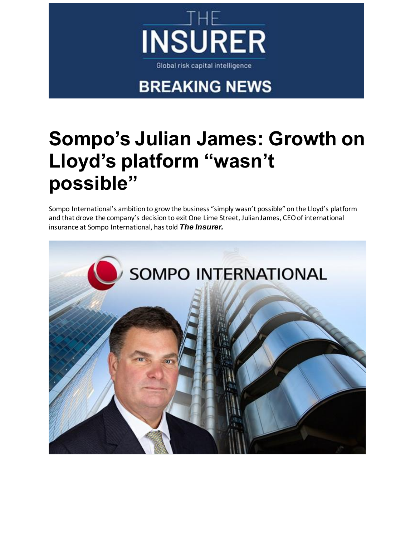

## **BREAKING NEWS**

## **[Sompo's Julian James: Growth on](https://urldefense.com/v3/__https:/reinsurance.cmail19.com/t/i-l-xkdjjjy-ykiutktlb-d/__;!!KZjKiK6LfX8M!c8xtbndaZTss4ut_kPVbAX8sXnKpg9EfR3Rv5w7yGaKWfxM9YqPEpu8U8DIBRtI5BA$)  [Lloyd's platform "wasn't](https://urldefense.com/v3/__https:/reinsurance.cmail19.com/t/i-l-xkdjjjy-ykiutktlb-d/__;!!KZjKiK6LfX8M!c8xtbndaZTss4ut_kPVbAX8sXnKpg9EfR3Rv5w7yGaKWfxM9YqPEpu8U8DIBRtI5BA$)  [possible"](https://urldefense.com/v3/__https:/reinsurance.cmail19.com/t/i-l-xkdjjjy-ykiutktlb-d/__;!!KZjKiK6LfX8M!c8xtbndaZTss4ut_kPVbAX8sXnKpg9EfR3Rv5w7yGaKWfxM9YqPEpu8U8DIBRtI5BA$)**

Sompo International's ambition to grow the business "simply wasn't possible" on the Lloyd's platform and that drove the company's decision to exit One Lime Street, Julian James, CEO of international insurance at Sompo International, has told *The Insurer.*

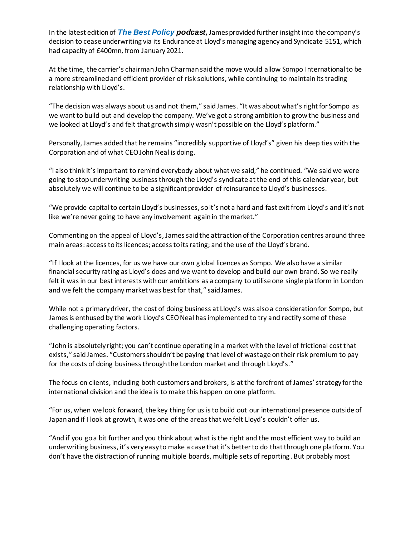In the latest edition of *[The Best Policy](https://urldefense.com/v3/__https:/reinsurance.cmail19.com/t/i-l-xkdjjjy-ykiutktlb-h/__;!!KZjKiK6LfX8M!c8xtbndaZTss4ut_kPVbAX8sXnKpg9EfR3Rv5w7yGaKWfxM9YqPEpu8U8DKOlAJQiQ$) podcast,* James provided further insight into the company's decision to cease underwriting via its Endurance at Lloyd's managing agency and Syndicate 5151, which had capacity of £400mn, from January 2021.

At the time, the carrier's chairman John Charman said the move would allow Sompo International to be a more streamlined and efficient provider of risk solutions, while continuing to maintain its trading relationship with Lloyd's.

"The decision was always about us and not them," said James. "It was about what's right for Sompo as we want to build out and develop the company. We've got a strong ambition to grow the business and we looked at Lloyd's and felt that growth simply wasn't possible on the Lloyd's platform."

Personally, James added that he remains "incredibly supportive of Lloyd's" given his deep ties with the Corporation and of what CEO John Neal is doing.

"I also think it's important to remind everybody about what we said," he continued. "We said we were going to stop underwriting business through the Lloyd's syndicate at the end of this calendar year, but absolutely we will continue to be a significant provider of reinsurance to Lloyd's businesses.

"We provide capital to certain Lloyd's businesses, so it's not a hard and fast exit from Lloyd's and it's not like we're never going to have any involvement again in the market."

Commenting on the appeal of Lloyd's, James said the attraction of the Corporation centres around three main areas: access to its licences; access to its rating; and the use of the Lloyd's brand.

"If I look at the licences, for us we have our own global licences as Sompo. We also have a similar financial security rating as Lloyd's does and we want to develop and build our own brand. So we really felt it was in our best interests with our ambitions as a company to utilise one single platform in London and we felt the company market was best for that," said James.

While not a primary driver, the cost of doing business at Lloyd's was also a consideration for Sompo, but James is enthused by the work Lloyd's CEO Neal has implemented to try and rectify some of these challenging operating factors.

"John is absolutely right; you can't continue operating in a market with the level of frictional cost that exists," said James. "Customers shouldn't be paying that level of wastage on their risk premium to pay for the costs of doing business through the London market and through Lloyd's."

The focus on clients, including both customers and brokers, is at the forefront of James' strategy for the international division and the idea is to make this happen on one platform.

"For us, when we look forward, the key thing for us is to build out our international presence outside of Japan and if I look at growth, it was one of the areas that we felt Lloyd's couldn't offer us.

"And if you go a bit further and you think about what is the right and the most efficient way to build an underwriting business, it's very easy to make a case that it's better to do that through one platform. You don't have the distraction of running multiple boards, multiple sets of reporting. But probably most